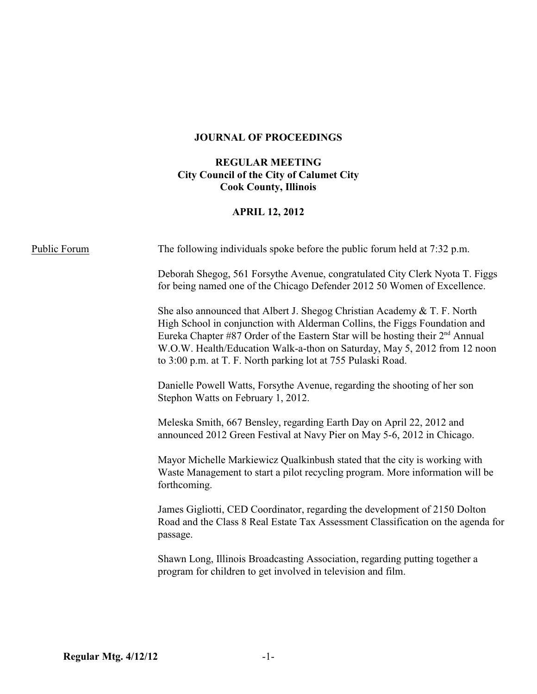# **JOURNAL OF PROCEEDINGS**

## **REGULAR MEETING City Council of the City of Calumet City Cook County, Illinois**

## **APRIL 12, 2012**

| Public Forum | The following individuals spoke before the public forum held at 7:32 p.m.                                                                                                                                                                                                                                                                                                              |  |
|--------------|----------------------------------------------------------------------------------------------------------------------------------------------------------------------------------------------------------------------------------------------------------------------------------------------------------------------------------------------------------------------------------------|--|
|              | Deborah Shegog, 561 Forsythe Avenue, congratulated City Clerk Nyota T. Figgs<br>for being named one of the Chicago Defender 2012 50 Women of Excellence.                                                                                                                                                                                                                               |  |
|              | She also announced that Albert J. Shegog Christian Academy & T. F. North<br>High School in conjunction with Alderman Collins, the Figgs Foundation and<br>Eureka Chapter #87 Order of the Eastern Star will be hosting their $2nd$ Annual<br>W.O.W. Health/Education Walk-a-thon on Saturday, May 5, 2012 from 12 noon<br>to 3:00 p.m. at T. F. North parking lot at 755 Pulaski Road. |  |
|              | Danielle Powell Watts, Forsythe Avenue, regarding the shooting of her son<br>Stephon Watts on February 1, 2012.                                                                                                                                                                                                                                                                        |  |
|              | Meleska Smith, 667 Bensley, regarding Earth Day on April 22, 2012 and<br>announced 2012 Green Festival at Navy Pier on May 5-6, 2012 in Chicago.                                                                                                                                                                                                                                       |  |
|              | Mayor Michelle Markiewicz Qualkinbush stated that the city is working with<br>Waste Management to start a pilot recycling program. More information will be<br>forthcoming.                                                                                                                                                                                                            |  |
|              | James Gigliotti, CED Coordinator, regarding the development of 2150 Dolton<br>Road and the Class 8 Real Estate Tax Assessment Classification on the agenda for<br>passage.                                                                                                                                                                                                             |  |
|              | Shawn Long, Illinois Broadcasting Association, regarding putting together a<br>program for children to get involved in television and film.                                                                                                                                                                                                                                            |  |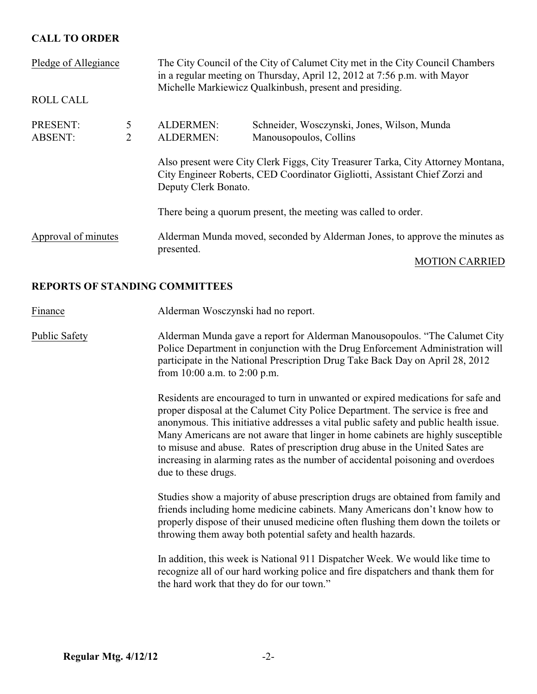## **CALL TO ORDER**

| Pledge of Allegiance       |                     |                               | The City Council of the City of Calumet City met in the City Council Chambers<br>in a regular meeting on Thursday, April 12, 2012 at 7:56 p.m. with Mayor<br>Michelle Markiewicz Qualkinbush, present and presiding. |                       |
|----------------------------|---------------------|-------------------------------|----------------------------------------------------------------------------------------------------------------------------------------------------------------------------------------------------------------------|-----------------------|
| <b>ROLL CALL</b>           |                     |                               |                                                                                                                                                                                                                      |                       |
| PRESENT:<br><b>ABSENT:</b> | 5<br>$\overline{2}$ | ALDERMEN:<br><b>ALDERMEN:</b> | Schneider, Wosczynski, Jones, Wilson, Munda<br>Manousopoulos, Collins                                                                                                                                                |                       |
|                            |                     | Deputy Clerk Bonato.          | Also present were City Clerk Figgs, City Treasurer Tarka, City Attorney Montana,<br>City Engineer Roberts, CED Coordinator Gigliotti, Assistant Chief Zorzi and                                                      |                       |
|                            |                     |                               | There being a quorum present, the meeting was called to order.                                                                                                                                                       |                       |
| Approval of minutes        |                     | presented.                    | Alderman Munda moved, seconded by Alderman Jones, to approve the minutes as                                                                                                                                          | <b>MOTION CARRIED</b> |
|                            |                     |                               |                                                                                                                                                                                                                      |                       |

### **REPORTS OF STANDING COMMITTEES**

Finance Alderman Wosczynski had no report.

Public Safety Alderman Munda gave a report for Alderman Manousopoulos. "The Calumet City Police Department in conjunction with the Drug Enforcement Administration will participate in the National Prescription Drug Take Back Day on April 28, 2012 from 10:00 a.m. to 2:00 p.m.

> Residents are encouraged to turn in unwanted or expired medications for safe and proper disposal at the Calumet City Police Department. The service is free and anonymous. This initiative addresses a vital public safety and public health issue. Many Americans are not aware that linger in home cabinets are highly susceptible to misuse and abuse. Rates of prescription drug abuse in the United Sates are increasing in alarming rates as the number of accidental poisoning and overdoes due to these drugs.

> Studies show a majority of abuse prescription drugs are obtained from family and friends including home medicine cabinets. Many Americans don't know how to properly dispose of their unused medicine often flushing them down the toilets or throwing them away both potential safety and health hazards.

In addition, this week is National 911 Dispatcher Week. We would like time to recognize all of our hard working police and fire dispatchers and thank them for the hard work that they do for our town."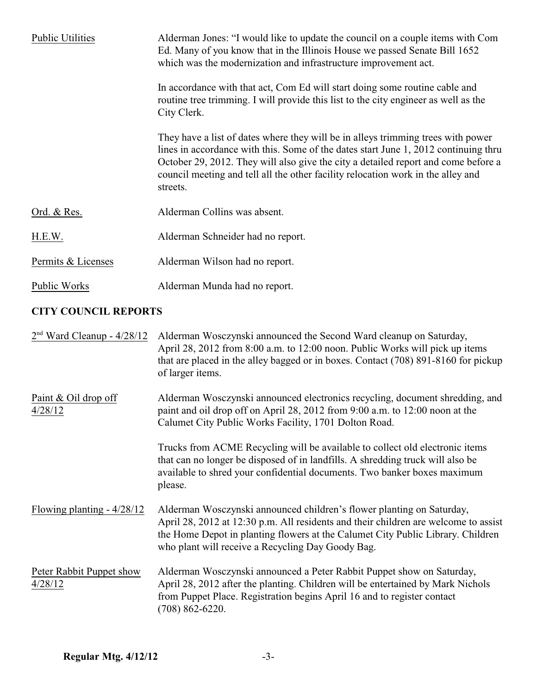| <b>Public Utilities</b> | Alderman Jones: "I would like to update the council on a couple items with Com<br>Ed. Many of you know that in the Illinois House we passed Senate Bill 1652<br>which was the modernization and infrastructure improvement act.                                                                                                                               |
|-------------------------|---------------------------------------------------------------------------------------------------------------------------------------------------------------------------------------------------------------------------------------------------------------------------------------------------------------------------------------------------------------|
|                         | In accordance with that act, Com Ed will start doing some routine cable and<br>routine tree trimming. I will provide this list to the city engineer as well as the<br>City Clerk.                                                                                                                                                                             |
|                         | They have a list of dates where they will be in alleys trimming trees with power<br>lines in accordance with this. Some of the dates start June 1, 2012 continuing thru<br>October 29, 2012. They will also give the city a detailed report and come before a<br>council meeting and tell all the other facility relocation work in the alley and<br>streets. |
| Ord. & Res.             | Alderman Collins was absent.                                                                                                                                                                                                                                                                                                                                  |
| H.E.W.                  | Alderman Schneider had no report.                                                                                                                                                                                                                                                                                                                             |
| Permits & Licenses      | Alderman Wilson had no report.                                                                                                                                                                                                                                                                                                                                |
| Public Works            | Alderman Munda had no report.                                                                                                                                                                                                                                                                                                                                 |

# **CITY COUNCIL REPORTS**

| $2nd$ Ward Cleanup - 4/28/12        | Alderman Wosczynski announced the Second Ward cleanup on Saturday,<br>April 28, 2012 from 8:00 a.m. to 12:00 noon. Public Works will pick up items<br>that are placed in the alley bagged or in boxes. Contact (708) 891-8160 for pickup<br>of larger items.                                         |
|-------------------------------------|------------------------------------------------------------------------------------------------------------------------------------------------------------------------------------------------------------------------------------------------------------------------------------------------------|
| Paint & Oil drop off<br>4/28/12     | Alderman Wosczynski announced electronics recycling, document shredding, and<br>paint and oil drop off on April 28, 2012 from 9:00 a.m. to 12:00 noon at the<br>Calumet City Public Works Facility, 1701 Dolton Road.                                                                                |
|                                     | Trucks from ACME Recycling will be available to collect old electronic items<br>that can no longer be disposed of in landfills. A shredding truck will also be<br>available to shred your confidential documents. Two banker boxes maximum<br>please.                                                |
| Flowing planting $-4/28/12$         | Alderman Wosczynski announced children's flower planting on Saturday,<br>April 28, 2012 at 12:30 p.m. All residents and their children are welcome to assist<br>the Home Depot in planting flowers at the Calumet City Public Library. Children<br>who plant will receive a Recycling Day Goody Bag. |
| Peter Rabbit Puppet show<br>4/28/12 | Alderman Wosczynski announced a Peter Rabbit Puppet show on Saturday,<br>April 28, 2012 after the planting. Children will be entertained by Mark Nichols<br>from Puppet Place. Registration begins April 16 and to register contact<br>$(708) 862 - 6220.$                                           |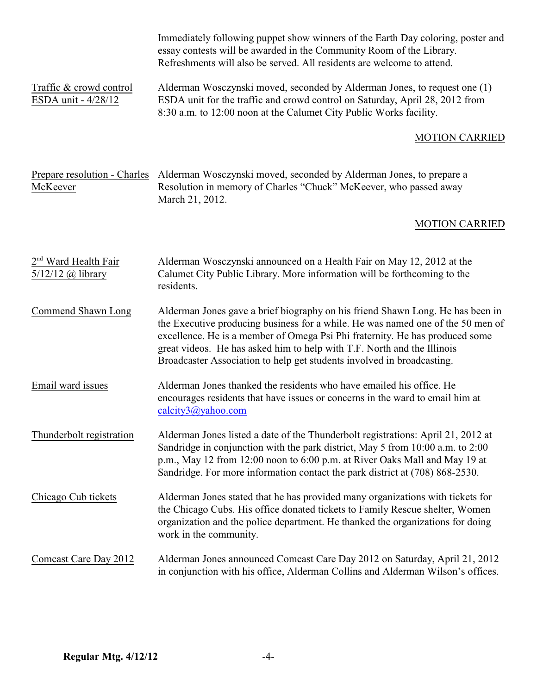|                                                                    | Immediately following puppet show winners of the Earth Day coloring, poster and<br>essay contests will be awarded in the Community Room of the Library.<br>Refreshments will also be served. All residents are welcome to attend.                                                                                                                                                                      |
|--------------------------------------------------------------------|--------------------------------------------------------------------------------------------------------------------------------------------------------------------------------------------------------------------------------------------------------------------------------------------------------------------------------------------------------------------------------------------------------|
| Traffic & crowd control<br>ESDA unit - 4/28/12                     | Alderman Wosczynski moved, seconded by Alderman Jones, to request one (1)<br>ESDA unit for the traffic and crowd control on Saturday, April 28, 2012 from<br>8:30 a.m. to 12:00 noon at the Calumet City Public Works facility.                                                                                                                                                                        |
|                                                                    | <b>MOTION CARRIED</b>                                                                                                                                                                                                                                                                                                                                                                                  |
| Prepare resolution - Charles<br>McKeever                           | Alderman Wosczynski moved, seconded by Alderman Jones, to prepare a<br>Resolution in memory of Charles "Chuck" McKeever, who passed away<br>March 21, 2012.                                                                                                                                                                                                                                            |
|                                                                    | <b>MOTION CARRIED</b>                                                                                                                                                                                                                                                                                                                                                                                  |
| 2 <sup>nd</sup> Ward Health Fair<br>$5/12/12$ ( <i>a</i> ) library | Alderman Wosczynski announced on a Health Fair on May 12, 2012 at the<br>Calumet City Public Library. More information will be forthcoming to the<br>residents.                                                                                                                                                                                                                                        |
| Commend Shawn Long                                                 | Alderman Jones gave a brief biography on his friend Shawn Long. He has been in<br>the Executive producing business for a while. He was named one of the 50 men of<br>excellence. He is a member of Omega Psi Phi fraternity. He has produced some<br>great videos. He has asked him to help with T.F. North and the Illinois<br>Broadcaster Association to help get students involved in broadcasting. |
| Email ward issues                                                  | Alderman Jones thanked the residents who have emailed his office. He<br>encourages residents that have issues or concerns in the ward to email him at<br>calcity3@yahoo.com                                                                                                                                                                                                                            |
| Thunderbolt registration                                           | Alderman Jones listed a date of the Thunderbolt registrations: April 21, 2012 at<br>Sandridge in conjunction with the park district, May 5 from 10:00 a.m. to 2:00<br>p.m., May 12 from 12:00 noon to 6:00 p.m. at River Oaks Mall and May 19 at<br>Sandridge. For more information contact the park district at (708) 868-2530.                                                                       |
| Chicago Cub tickets                                                | Alderman Jones stated that he has provided many organizations with tickets for<br>the Chicago Cubs. His office donated tickets to Family Rescue shelter, Women<br>organization and the police department. He thanked the organizations for doing<br>work in the community.                                                                                                                             |
| Comcast Care Day 2012                                              | Alderman Jones announced Comcast Care Day 2012 on Saturday, April 21, 2012<br>in conjunction with his office, Alderman Collins and Alderman Wilson's offices.                                                                                                                                                                                                                                          |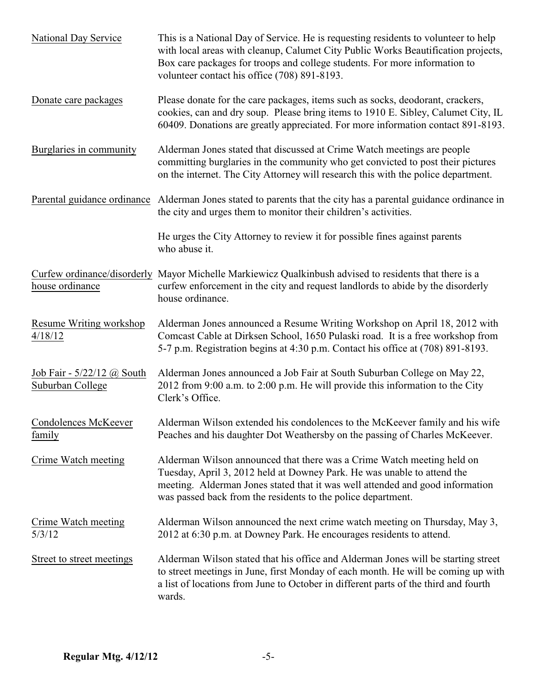| National Day Service                           | This is a National Day of Service. He is requesting residents to volunteer to help<br>with local areas with cleanup, Calumet City Public Works Beautification projects,<br>Box care packages for troops and college students. For more information to<br>volunteer contact his office (708) 891-8193. |  |  |
|------------------------------------------------|-------------------------------------------------------------------------------------------------------------------------------------------------------------------------------------------------------------------------------------------------------------------------------------------------------|--|--|
| Donate care packages                           | Please donate for the care packages, items such as socks, deodorant, crackers,<br>cookies, can and dry soup. Please bring items to 1910 E. Sibley, Calumet City, IL<br>60409. Donations are greatly appreciated. For more information contact 891-8193.                                               |  |  |
| Burglaries in community                        | Alderman Jones stated that discussed at Crime Watch meetings are people<br>committing burglaries in the community who get convicted to post their pictures<br>on the internet. The City Attorney will research this with the police department.                                                       |  |  |
| Parental guidance ordinance                    | Alderman Jones stated to parents that the city has a parental guidance ordinance in<br>the city and urges them to monitor their children's activities.                                                                                                                                                |  |  |
|                                                | He urges the City Attorney to review it for possible fines against parents<br>who abuse it.                                                                                                                                                                                                           |  |  |
| house ordinance                                | Curfew ordinance/disorderly Mayor Michelle Markiewicz Qualkinbush advised to residents that there is a<br>curfew enforcement in the city and request landlords to abide by the disorderly<br>house ordinance.                                                                                         |  |  |
| Resume Writing workshop<br>4/18/12             | Alderman Jones announced a Resume Writing Workshop on April 18, 2012 with<br>Comcast Cable at Dirksen School, 1650 Pulaski road. It is a free workshop from<br>5-7 p.m. Registration begins at 4:30 p.m. Contact his office at (708) 891-8193.                                                        |  |  |
| Job Fair - 5/22/12 @ South<br>Suburban College | Alderman Jones announced a Job Fair at South Suburban College on May 22,<br>2012 from 9:00 a.m. to 2:00 p.m. He will provide this information to the City<br>Clerk's Office.                                                                                                                          |  |  |
| <b>Condolences McKeever</b><br>family          | Alderman Wilson extended his condolences to the McKeever family and his wife<br>Peaches and his daughter Dot Weathersby on the passing of Charles McKeever.                                                                                                                                           |  |  |
| Crime Watch meeting                            | Alderman Wilson announced that there was a Crime Watch meeting held on<br>Tuesday, April 3, 2012 held at Downey Park. He was unable to attend the<br>meeting. Alderman Jones stated that it was well attended and good information<br>was passed back from the residents to the police department.    |  |  |
| <b>Crime Watch meeting</b><br>5/3/12           | Alderman Wilson announced the next crime watch meeting on Thursday, May 3,<br>2012 at 6:30 p.m. at Downey Park. He encourages residents to attend.                                                                                                                                                    |  |  |
| Street to street meetings                      | Alderman Wilson stated that his office and Alderman Jones will be starting street<br>to street meetings in June, first Monday of each month. He will be coming up with<br>a list of locations from June to October in different parts of the third and fourth<br>wards.                               |  |  |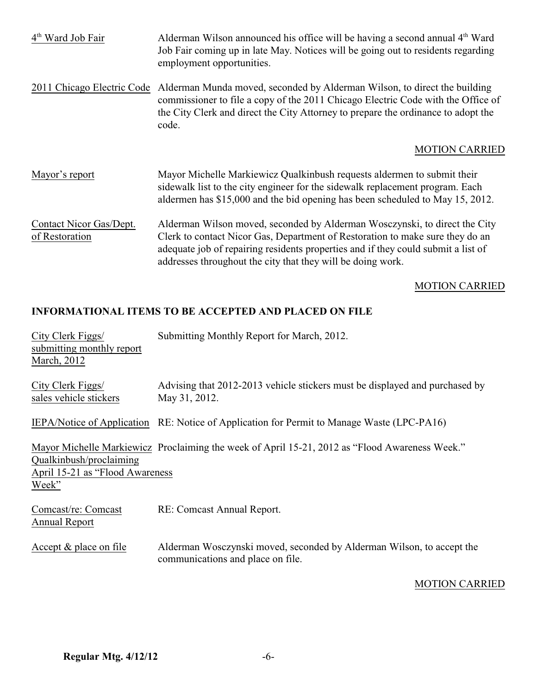| 4 <sup>th</sup> Ward Job Fair             | Alderman Wilson announced his office will be having a second annual 4 <sup>th</sup> Ward<br>Job Fair coming up in late May. Notices will be going out to residents regarding<br>employment opportunities.                                                                                                       |
|-------------------------------------------|-----------------------------------------------------------------------------------------------------------------------------------------------------------------------------------------------------------------------------------------------------------------------------------------------------------------|
| 2011 Chicago Electric Code                | Alderman Munda moved, seconded by Alderman Wilson, to direct the building<br>commissioner to file a copy of the 2011 Chicago Electric Code with the Office of<br>the City Clerk and direct the City Attorney to prepare the ordinance to adopt the<br>code.                                                     |
|                                           | <b>MOTION CARRIED</b>                                                                                                                                                                                                                                                                                           |
| Mayor's report                            | Mayor Michelle Markiewicz Qualkinbush requests aldermen to submit their<br>sidewalk list to the city engineer for the sidewalk replacement program. Each<br>aldermen has \$15,000 and the bid opening has been scheduled to May 15, 2012.                                                                       |
| Contact Nicor Gas/Dept.<br>of Restoration | Alderman Wilson moved, seconded by Alderman Wosczynski, to direct the City<br>Clerk to contact Nicor Gas, Department of Restoration to make sure they do an<br>adequate job of repairing residents properties and if they could submit a list of<br>addresses throughout the city that they will be doing work. |

# MOTION CARRIED

# **INFORMATIONAL ITEMS TO BE ACCEPTED AND PLACED ON FILE**

| City Clerk Figgs/<br>submitting monthly report<br>March, 2012        | Submitting Monthly Report for March, 2012.                                                                 |
|----------------------------------------------------------------------|------------------------------------------------------------------------------------------------------------|
| City Clerk Figgs/<br>sales vehicle stickers                          | Advising that 2012-2013 vehicle stickers must be displayed and purchased by<br>May 31, 2012.               |
|                                                                      | IEPA/Notice of Application RE: Notice of Application for Permit to Manage Waste (LPC-PA16)                 |
| Qualkinbush/proclaiming<br>April 15-21 as "Flood Awareness"<br>Week" | Mayor Michelle Markiewicz Proclaiming the week of April 15-21, 2012 as "Flood Awareness Week."             |
| Comcast/re: Comcast<br>Annual Report                                 | RE: Comcast Annual Report.                                                                                 |
| Accept & place on file                                               | Alderman Wosczynski moved, seconded by Alderman Wilson, to accept the<br>communications and place on file. |

### MOTION CARRIED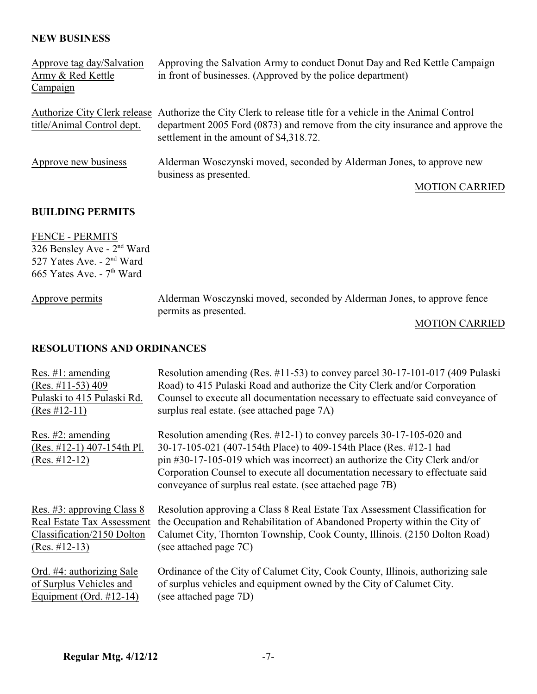### **NEW BUSINESS**

| Approve tag day/Salvation  | Approving the Salvation Army to conduct Donut Day and Red Kettle Campaign                                                 |
|----------------------------|---------------------------------------------------------------------------------------------------------------------------|
| Army & Red Kettle          | in front of businesses. (Approved by the police department)                                                               |
| Campaign                   |                                                                                                                           |
|                            | Authorize City Clerk release Authorize the City Clerk to release title for a vehicle in the Animal Control                |
| title/Animal Control dept. | department 2005 Ford (0873) and remove from the city insurance and approve the<br>settlement in the amount of \$4,318.72. |
| Approve new business       | Alderman Wosczynski moved, seconded by Alderman Jones, to approve new<br>business as presented.                           |
|                            | <b>MOTION CARRIED</b>                                                                                                     |

#### **BUILDING PERMITS**

FENCE - PERMITS  $326$  Bensley Ave -  $2<sup>nd</sup>$  Ward 527 Yates Ave. -  $2<sup>nd</sup>$  Ward 665 Yates Ave. -  $7<sup>th</sup>$  Ward

Approve permits Alderman Wosczynski moved, seconded by Alderman Jones, to approve fence permits as presented.

### MOTION CARRIED

### **RESOLUTIONS AND ORDINANCES**

| Res. $\#1$ : amending<br>(Res. #11-53) 409 | Resolution amending (Res. #11-53) to convey parcel 30-17-101-017 (409 Pulaski<br>Road) to 415 Pulaski Road and authorize the City Clerk and/or Corporation |
|--------------------------------------------|------------------------------------------------------------------------------------------------------------------------------------------------------------|
| Pulaski to 415 Pulaski Rd.                 | Counsel to execute all documentation necessary to effectuate said conveyance of                                                                            |
| $(Res #12-11)$                             | surplus real estate. (see attached page 7A)                                                                                                                |
| Res. $#2$ : amending                       | Resolution amending (Res. $\#12-1$ ) to convey parcels 30-17-105-020 and                                                                                   |
| $(Res. #12-1)$ 407-154th Pl.               | 30-17-105-021 (407-154th Place) to 409-154th Place (Res. #12-1 had                                                                                         |
| $(Res. #12-12)$                            | pin #30-17-105-019 which was incorrect) an authorize the City Clerk and/or                                                                                 |
|                                            | Corporation Counsel to execute all documentation necessary to effectuate said<br>conveyance of surplus real estate. (see attached page 7B)                 |
| Res. #3: approving Class 8                 | Resolution approving a Class 8 Real Estate Tax Assessment Classification for                                                                               |
| <b>Real Estate Tax Assessment</b>          | the Occupation and Rehabilitation of Abandoned Property within the City of                                                                                 |
| Classification/2150 Dolton                 | Calumet City, Thornton Township, Cook County, Illinois. (2150 Dolton Road)                                                                                 |
| $(Res. #12-13)$                            | (see attached page 7C)                                                                                                                                     |
| Ord. #4: authorizing Sale                  | Ordinance of the City of Calumet City, Cook County, Illinois, authorizing sale                                                                             |
| of Surplus Vehicles and                    | of surplus vehicles and equipment owned by the City of Calumet City.                                                                                       |
| Equipment (Ord. $\#12-14$ )                | (see attached page 7D)                                                                                                                                     |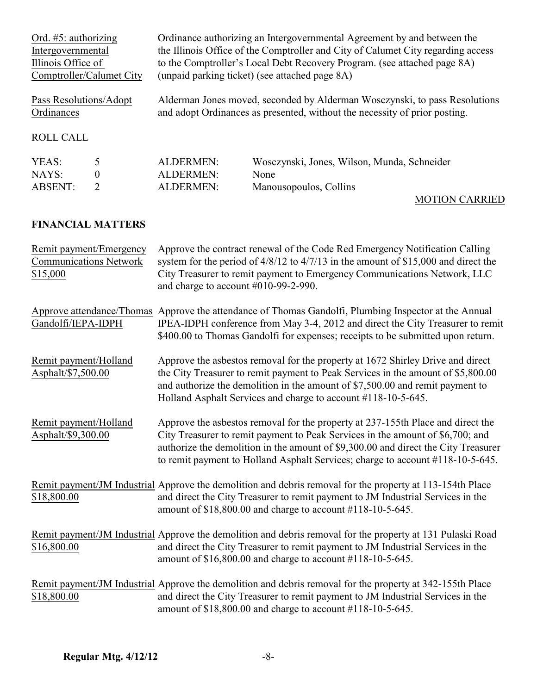| Ord. $#5$ : authorizing<br>Intergovernmental<br>Illinois Office of<br>Comptroller/Calumet City |             | Ordinance authorizing an Intergovernmental Agreement by and between the<br>the Illinois Office of the Comptroller and City of Calumet City regarding access<br>to the Comptroller's Local Debt Recovery Program. (see attached page 8A)<br>(unpaid parking ticket) (see attached page 8A) |                                                                                                                                                          |
|------------------------------------------------------------------------------------------------|-------------|-------------------------------------------------------------------------------------------------------------------------------------------------------------------------------------------------------------------------------------------------------------------------------------------|----------------------------------------------------------------------------------------------------------------------------------------------------------|
| Pass Resolutions/Adopt<br>Ordinances                                                           |             |                                                                                                                                                                                                                                                                                           | Alderman Jones moved, seconded by Alderman Wosczynski, to pass Resolutions<br>and adopt Ordinances as presented, without the necessity of prior posting. |
| <b>ROLL CALL</b>                                                                               |             |                                                                                                                                                                                                                                                                                           |                                                                                                                                                          |
| YEAS:<br>NAYS:<br><b>ABSENT:</b>                                                               | 5<br>0<br>2 | ALDERMEN:<br><b>ALDERMEN:</b><br><b>ALDERMEN:</b>                                                                                                                                                                                                                                         | Wosczynski, Jones, Wilson, Munda, Schneider<br>None<br>Manousopoulos, Collins                                                                            |
|                                                                                                |             |                                                                                                                                                                                                                                                                                           | <b>MOTION CARRIED</b>                                                                                                                                    |

# **FINANCIAL MATTERS**

| Remit payment/Emergency<br><b>Communications Network</b><br>\$15,000 | Approve the contract renewal of the Code Red Emergency Notification Calling<br>system for the period of $4/8/12$ to $4/7/13$ in the amount of \$15,000 and direct the<br>City Treasurer to remit payment to Emergency Communications Network, LLC<br>and charge to account #010-99-2-990.                                                 |
|----------------------------------------------------------------------|-------------------------------------------------------------------------------------------------------------------------------------------------------------------------------------------------------------------------------------------------------------------------------------------------------------------------------------------|
| Gandolfi/IEPA-IDPH                                                   | Approve attendance/Thomas Approve the attendance of Thomas Gandolfi, Plumbing Inspector at the Annual<br>IPEA-IDPH conference from May 3-4, 2012 and direct the City Treasurer to remit<br>\$400.00 to Thomas Gandolfi for expenses; receipts to be submitted upon return.                                                                |
| Remit payment/Holland<br>Asphalt/\$7,500.00                          | Approve the asbestos removal for the property at 1672 Shirley Drive and direct<br>the City Treasurer to remit payment to Peak Services in the amount of \$5,800.00<br>and authorize the demolition in the amount of \$7,500.00 and remit payment to<br>Holland Asphalt Services and charge to account #118-10-5-645.                      |
| Remit payment/Holland<br>Asphalt/\$9,300.00                          | Approve the asbestos removal for the property at 237-155th Place and direct the<br>City Treasurer to remit payment to Peak Services in the amount of \$6,700; and<br>authorize the demolition in the amount of \$9,300.00 and direct the City Treasurer<br>to remit payment to Holland Asphalt Services; charge to account #118-10-5-645. |
| \$18,800.00                                                          | Remit payment/JM Industrial Approve the demolition and debris removal for the property at 113-154th Place<br>and direct the City Treasurer to remit payment to JM Industrial Services in the<br>amount of \$18,800.00 and charge to account #118-10-5-645.                                                                                |
| \$16,800.00                                                          | Remit payment/JM Industrial Approve the demolition and debris removal for the property at 131 Pulaski Road<br>and direct the City Treasurer to remit payment to JM Industrial Services in the<br>amount of \$16,800.00 and charge to account #118-10-5-645.                                                                               |
| \$18,800.00                                                          | Remit payment/JM Industrial Approve the demolition and debris removal for the property at 342-155th Place<br>and direct the City Treasurer to remit payment to JM Industrial Services in the<br>amount of \$18,800.00 and charge to account #118-10-5-645.                                                                                |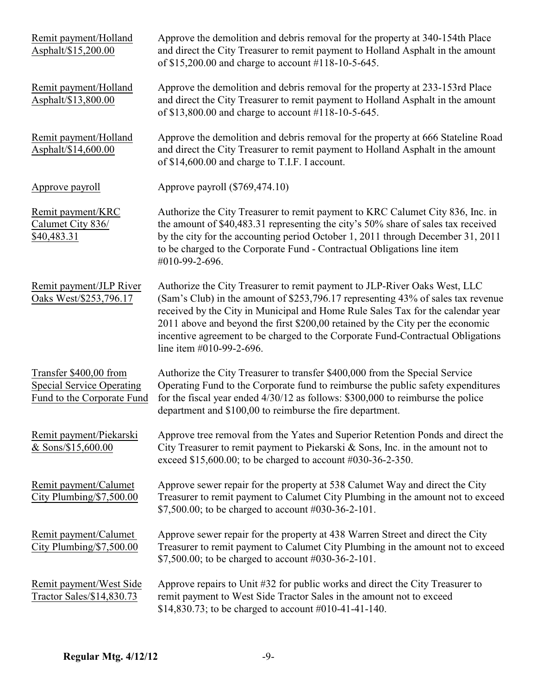| Remit payment/Holland<br>Asphalt/\$15,200.00                                             | Approve the demolition and debris removal for the property at 340-154th Place<br>and direct the City Treasurer to remit payment to Holland Asphalt in the amount<br>of \$15,200.00 and charge to account #118-10-5-645.                                                                                                                                                                                                                           |
|------------------------------------------------------------------------------------------|---------------------------------------------------------------------------------------------------------------------------------------------------------------------------------------------------------------------------------------------------------------------------------------------------------------------------------------------------------------------------------------------------------------------------------------------------|
| Remit payment/Holland<br>Asphalt/\$13,800.00                                             | Approve the demolition and debris removal for the property at 233-153rd Place<br>and direct the City Treasurer to remit payment to Holland Asphalt in the amount<br>of \$13,800.00 and charge to account #118-10-5-645.                                                                                                                                                                                                                           |
| Remit payment/Holland<br>Asphalt/\$14,600.00                                             | Approve the demolition and debris removal for the property at 666 Stateline Road<br>and direct the City Treasurer to remit payment to Holland Asphalt in the amount<br>of \$14,600.00 and charge to T.I.F. I account.                                                                                                                                                                                                                             |
| Approve payroll                                                                          | Approve payroll (\$769,474.10)                                                                                                                                                                                                                                                                                                                                                                                                                    |
| Remit payment/KRC<br>Calumet City 836/<br>\$40,483.31                                    | Authorize the City Treasurer to remit payment to KRC Calumet City 836, Inc. in<br>the amount of \$40,483.31 representing the city's 50% share of sales tax received<br>by the city for the accounting period October 1, 2011 through December 31, 2011<br>to be charged to the Corporate Fund - Contractual Obligations line item<br>#010-99-2-696.                                                                                               |
| Remit payment/JLP River<br>Oaks West/\$253,796.17                                        | Authorize the City Treasurer to remit payment to JLP-River Oaks West, LLC<br>(Sam's Club) in the amount of \$253,796.17 representing 43% of sales tax revenue<br>received by the City in Municipal and Home Rule Sales Tax for the calendar year<br>2011 above and beyond the first \$200,00 retained by the City per the economic<br>incentive agreement to be charged to the Corporate Fund-Contractual Obligations<br>line item #010-99-2-696. |
| Transfer \$400,00 from<br><b>Special Service Operating</b><br>Fund to the Corporate Fund | Authorize the City Treasurer to transfer \$400,000 from the Special Service<br>Operating Fund to the Corporate fund to reimburse the public safety expenditures<br>for the fiscal year ended 4/30/12 as follows: \$300,000 to reimburse the police<br>department and \$100,00 to reimburse the fire department.                                                                                                                                   |
| Remit payment/Piekarski<br>& Sons/\$15,600.00                                            | Approve tree removal from the Yates and Superior Retention Ponds and direct the<br>City Treasurer to remit payment to Piekarski & Sons, Inc. in the amount not to<br>exceed \$15,600.00; to be charged to account #030-36-2-350.                                                                                                                                                                                                                  |
| Remit payment/Calumet<br>City Plumbing/\$7,500.00                                        | Approve sewer repair for the property at 538 Calumet Way and direct the City<br>Treasurer to remit payment to Calumet City Plumbing in the amount not to exceed<br>\$7,500.00; to be charged to account #030-36-2-101.                                                                                                                                                                                                                            |
| Remit payment/Calumet<br>City Plumbing/\$7,500.00                                        | Approve sewer repair for the property at 438 Warren Street and direct the City<br>Treasurer to remit payment to Calumet City Plumbing in the amount not to exceed<br>\$7,500.00; to be charged to account #030-36-2-101.                                                                                                                                                                                                                          |
| Remit payment/West Side<br>Tractor Sales/\$14,830.73                                     | Approve repairs to Unit #32 for public works and direct the City Treasurer to<br>remit payment to West Side Tractor Sales in the amount not to exceed<br>\$14,830.73; to be charged to account $\#010-41-41-140$ .                                                                                                                                                                                                                                |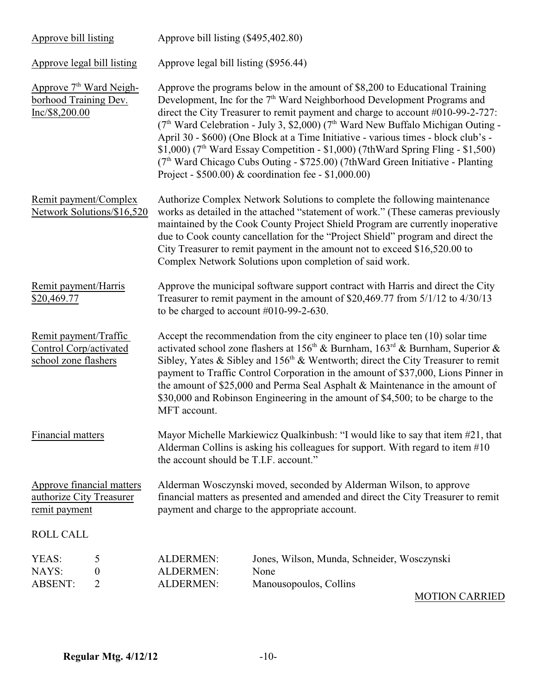| Approve bill listing                                                           | Approve bill listing (\$495,402.80)                                                                                                                                                                                                                                                                                                                                                                                                                                                                                                                      |                                                                                                                                                                                                                                                                                                                                                                                                                                                                                                                                                                                                                                                                                                                 |  |
|--------------------------------------------------------------------------------|----------------------------------------------------------------------------------------------------------------------------------------------------------------------------------------------------------------------------------------------------------------------------------------------------------------------------------------------------------------------------------------------------------------------------------------------------------------------------------------------------------------------------------------------------------|-----------------------------------------------------------------------------------------------------------------------------------------------------------------------------------------------------------------------------------------------------------------------------------------------------------------------------------------------------------------------------------------------------------------------------------------------------------------------------------------------------------------------------------------------------------------------------------------------------------------------------------------------------------------------------------------------------------------|--|
| Approve legal bill listing                                                     | Approve legal bill listing (\$956.44)                                                                                                                                                                                                                                                                                                                                                                                                                                                                                                                    |                                                                                                                                                                                                                                                                                                                                                                                                                                                                                                                                                                                                                                                                                                                 |  |
| Approve 7 <sup>th</sup> Ward Neigh-<br>borhood Training Dev.<br>Inc/\$8,200.00 |                                                                                                                                                                                                                                                                                                                                                                                                                                                                                                                                                          | Approve the programs below in the amount of \$8,200 to Educational Training<br>Development, Inc for the 7 <sup>th</sup> Ward Neighborhood Development Programs and<br>direct the City Treasurer to remit payment and charge to account #010-99-2-727:<br>(7 <sup>th</sup> Ward Celebration - July 3, \$2,000) (7 <sup>th</sup> Ward New Buffalo Michigan Outing -<br>April 30 - \$600) (One Block at a Time Initiative - various times - block club's -<br>$$1,000$ (7 <sup>th</sup> Ward Essay Competition - \$1,000) (7th Ward Spring Fling - \$1,500)<br>(7 <sup>th</sup> Ward Chicago Cubs Outing - \$725.00) (7th Ward Green Initiative - Planting<br>Project - \$500.00) & coordination fee - \$1,000.00) |  |
| Remit payment/Complex<br>Network Solutions/\$16,520                            |                                                                                                                                                                                                                                                                                                                                                                                                                                                                                                                                                          | Authorize Complex Network Solutions to complete the following maintenance<br>works as detailed in the attached "statement of work." (These cameras previously<br>maintained by the Cook County Project Shield Program are currently inoperative<br>due to Cook county cancellation for the "Project Shield" program and direct the<br>City Treasurer to remit payment in the amount not to exceed \$16,520.00 to<br>Complex Network Solutions upon completion of said work.                                                                                                                                                                                                                                     |  |
| Remit payment/Harris<br>\$20,469.77                                            | to be charged to account $#010-99-2-630$ .                                                                                                                                                                                                                                                                                                                                                                                                                                                                                                               | Approve the municipal software support contract with Harris and direct the City<br>Treasurer to remit payment in the amount of \$20,469.77 from 5/1/12 to 4/30/13                                                                                                                                                                                                                                                                                                                                                                                                                                                                                                                                               |  |
| Remit payment/Traffic<br>Control Corp/activated<br>school zone flashers        | Accept the recommendation from the city engineer to place ten (10) solar time<br>activated school zone flashers at 156 <sup>th</sup> & Burnham, $163^{rd}$ & Burnham, Superior &<br>Sibley, Yates & Sibley and 156 <sup>th</sup> & Wentworth; direct the City Treasurer to remit<br>payment to Traffic Control Corporation in the amount of \$37,000, Lions Pinner in<br>the amount of \$25,000 and Perma Seal Asphalt & Maintenance in the amount of<br>\$30,000 and Robinson Engineering in the amount of \$4,500; to be charge to the<br>MFT account. |                                                                                                                                                                                                                                                                                                                                                                                                                                                                                                                                                                                                                                                                                                                 |  |
| Financial matters                                                              | Mayor Michelle Markiewicz Qualkinbush: "I would like to say that item #21, that<br>Alderman Collins is asking his colleagues for support. With regard to item #10<br>the account should be T.I.F. account."                                                                                                                                                                                                                                                                                                                                              |                                                                                                                                                                                                                                                                                                                                                                                                                                                                                                                                                                                                                                                                                                                 |  |
| Approve financial matters<br>authorize City Treasurer<br>remit payment         | Alderman Wosczynski moved, seconded by Alderman Wilson, to approve<br>financial matters as presented and amended and direct the City Treasurer to remit<br>payment and charge to the appropriate account.                                                                                                                                                                                                                                                                                                                                                |                                                                                                                                                                                                                                                                                                                                                                                                                                                                                                                                                                                                                                                                                                                 |  |
| ROLL CALL                                                                      |                                                                                                                                                                                                                                                                                                                                                                                                                                                                                                                                                          |                                                                                                                                                                                                                                                                                                                                                                                                                                                                                                                                                                                                                                                                                                                 |  |
| YEAS:<br>5<br>NAYS:<br>$\boldsymbol{0}$<br><b>ABSENT:</b><br>$\overline{2}$    | <b>ALDERMEN:</b><br><b>ALDERMEN:</b><br><b>ALDERMEN:</b>                                                                                                                                                                                                                                                                                                                                                                                                                                                                                                 | Jones, Wilson, Munda, Schneider, Wosczynski<br>None<br>Manousopoulos, Collins                                                                                                                                                                                                                                                                                                                                                                                                                                                                                                                                                                                                                                   |  |

MOTION CARRIED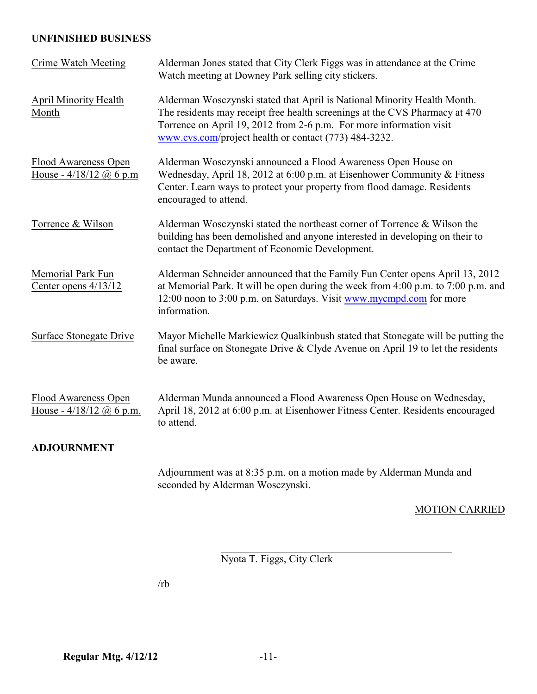## **UNFINISHED BUSINESS**

| <b>Crime Watch Meeting</b>                         | Alderman Jones stated that City Clerk Figgs was in attendance at the Crime<br>Watch meeting at Downey Park selling city stickers.                                                                                                                                                       |
|----------------------------------------------------|-----------------------------------------------------------------------------------------------------------------------------------------------------------------------------------------------------------------------------------------------------------------------------------------|
| <b>April Minority Health</b><br>Month              | Alderman Wosczynski stated that April is National Minority Health Month.<br>The residents may receipt free health screenings at the CVS Pharmacy at 470<br>Torrence on April 19, 2012 from 2-6 p.m. For more information visit<br>www.cvs.com/project health or contact (773) 484-3232. |
| Flood Awareness Open<br>House - $4/18/12$ @ 6 p.m  | Alderman Wosczynski announced a Flood Awareness Open House on<br>Wednesday, April 18, 2012 at 6:00 p.m. at Eisenhower Community & Fitness<br>Center. Learn ways to protect your property from flood damage. Residents<br>encouraged to attend.                                          |
| Torrence & Wilson                                  | Alderman Wosczynski stated the northeast corner of Torrence & Wilson the<br>building has been demolished and anyone interested in developing on their to<br>contact the Department of Economic Development.                                                                             |
| Memorial Park Fun<br>Center opens 4/13/12          | Alderman Schneider announced that the Family Fun Center opens April 13, 2012<br>at Memorial Park. It will be open during the week from 4:00 p.m. to 7:00 p.m. and<br>12:00 noon to 3:00 p.m. on Saturdays. Visit www.mycmpd.com for more<br>information.                                |
| <b>Surface Stonegate Drive</b>                     | Mayor Michelle Markiewicz Qualkinbush stated that Stonegate will be putting the<br>final surface on Stonegate Drive & Clyde Avenue on April 19 to let the residents<br>be aware.                                                                                                        |
| Flood Awareness Open<br>House - $4/18/12$ @ 6 p.m. | Alderman Munda announced a Flood Awareness Open House on Wednesday,<br>April 18, 2012 at 6:00 p.m. at Eisenhower Fitness Center. Residents encouraged<br>to attend.                                                                                                                     |
| <b>ADJOURNMENT</b>                                 |                                                                                                                                                                                                                                                                                         |
|                                                    | Adjournment was at 8:35 p.m. on a motion made by Alderman Munda and<br>seconded by Alderman Wosczynski.                                                                                                                                                                                 |

MOTION CARRIED

Nyota T. Figgs, City Clerk

l

/rb